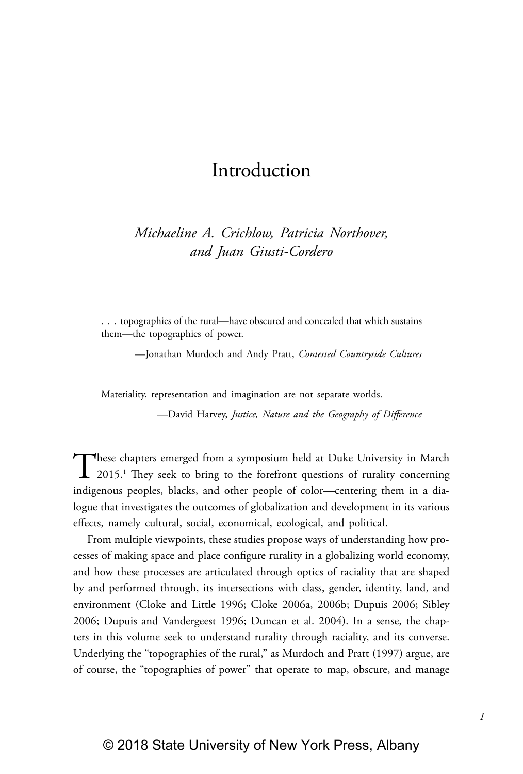## Introduction

*Michaeline A. Crichlow, Patricia Northover, and Juan Giusti-Cordero*

. . . topographies of the rural—have obscured and concealed that which sustains them—the topographies of power.

—Jonathan Murdoch and Andy Pratt, *Contested Countryside Cultures*

Materiality, representation and imagination are not separate worlds.

—David Harvey, *Justice, Nature and the Geography of Difference*

These chapters emerged from a symposium held at Duke University in March 2015.<sup>1</sup> They seek to bring to the forefront questions of rurality concerning indigenous peoples, blacks, and other people of color—centering them in a dialogue that investigates the outcomes of globalization and development in its various effects, namely cultural, social, economical, ecological, and political.

From multiple viewpoints, these studies propose ways of understanding how processes of making space and place configure rurality in a globalizing world economy, and how these processes are articulated through optics of raciality that are shaped by and performed through, its intersections with class, gender, identity, land, and environment (Cloke and Little 1996; Cloke 2006a, 2006b; Dupuis 2006; Sibley 2006; Dupuis and Vandergeest 1996; Duncan et al. 2004). In a sense, the chapters in this volume seek to understand rurality through raciality, and its converse. Underlying the "topographies of the rural," as Murdoch and Pratt (1997) argue, are of course, the "topographies of power" that operate to map, obscure, and manage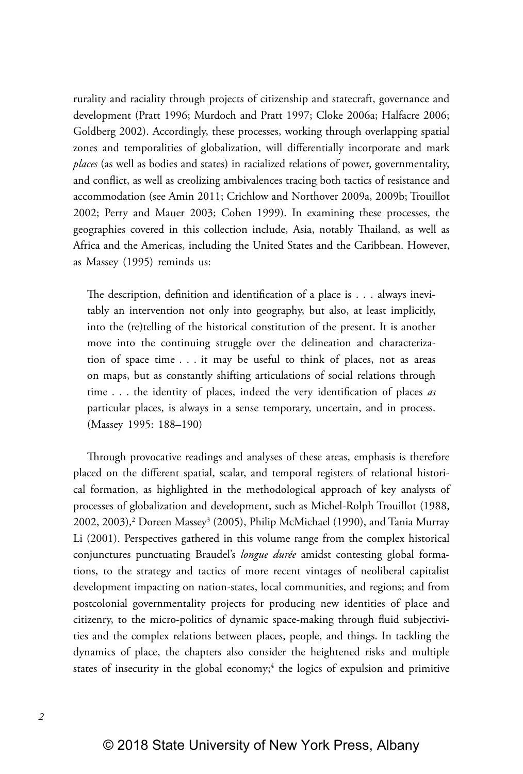rurality and raciality through projects of citizenship and statecraft, governance and development (Pratt 1996; Murdoch and Pratt 1997; Cloke 2006a; Halfacre 2006; Goldberg 2002). Accordingly, these processes, working through overlapping spatial zones and temporalities of globalization, will differentially incorporate and mark *places* (as well as bodies and states) in racialized relations of power, governmentality, and conflict, as well as creolizing ambivalences tracing both tactics of resistance and accommodation (see Amin 2011; Crichlow and Northover 2009a, 2009b; Trouillot 2002; Perry and Mauer 2003; Cohen 1999). In examining these processes, the geographies covered in this collection include, Asia, notably Thailand, as well as Africa and the Americas, including the United States and the Caribbean. However, as Massey (1995) reminds us:

The description, definition and identification of a place is . . . always inevitably an intervention not only into geography, but also, at least implicitly, into the (re)telling of the historical constitution of the present. It is another move into the continuing struggle over the delineation and characterization of space time . . . it may be useful to think of places, not as areas on maps, but as constantly shifting articulations of social relations through time . . . the identity of places, indeed the very identification of places *as*  particular places, is always in a sense temporary, uncertain, and in process. (Massey 1995: 188–190)

Through provocative readings and analyses of these areas, emphasis is therefore placed on the different spatial, scalar, and temporal registers of relational historical formation, as highlighted in the methodological approach of key analysts of processes of globalization and development, such as Michel-Rolph Trouillot (1988, 2002, 2003),<sup>2</sup> Doreen Massey<sup>3</sup> (2005), Philip McMichael (1990), and Tania Murray Li (2001). Perspectives gathered in this volume range from the complex historical conjunctures punctuating Braudel's *longue durée* amidst contesting global formations, to the strategy and tactics of more recent vintages of neoliberal capitalist development impacting on nation-states, local communities, and regions; and from postcolonial governmentality projects for producing new identities of place and citizenry, to the micro-politics of dynamic space-making through fluid subjectivities and the complex relations between places, people, and things. In tackling the dynamics of place, the chapters also consider the heightened risks and multiple states of insecurity in the global economy;<sup>4</sup> the logics of expulsion and primitive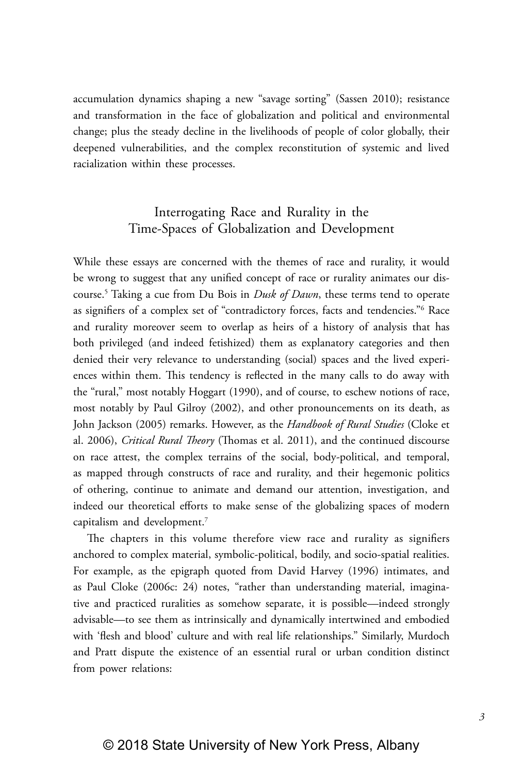accumulation dynamics shaping a new "savage sorting" (Sassen 2010); resistance and transformation in the face of globalization and political and environmental change; plus the steady decline in the livelihoods of people of color globally, their deepened vulnerabilities, and the complex reconstitution of systemic and lived racialization within these processes.

## Interrogating Race and Rurality in the Time-Spaces of Globalization and Development

While these essays are concerned with the themes of race and rurality, it would be wrong to suggest that any unified concept of race or rurality animates our discourse.5 Taking a cue from Du Bois in *Dusk of Dawn*, these terms tend to operate as signifiers of a complex set of "contradictory forces, facts and tendencies."6 Race and rurality moreover seem to overlap as heirs of a history of analysis that has both privileged (and indeed fetishized) them as explanatory categories and then denied their very relevance to understanding (social) spaces and the lived experiences within them. This tendency is reflected in the many calls to do away with the "rural," most notably Hoggart (1990), and of course, to eschew notions of race, most notably by Paul Gilroy (2002), and other pronouncements on its death, as John Jackson (2005) remarks. However, as the *Handbook of Rural Studies* (Cloke et al. 2006), *Critical Rural Theory* (Thomas et al. 2011), and the continued discourse on race attest, the complex terrains of the social, body-political, and temporal, as mapped through constructs of race and rurality, and their hegemonic politics of othering, continue to animate and demand our attention, investigation, and indeed our theoretical efforts to make sense of the globalizing spaces of modern capitalism and development.7

The chapters in this volume therefore view race and rurality as signifiers anchored to complex material, symbolic-political, bodily, and socio-spatial realities. For example, as the epigraph quoted from David Harvey (1996) intimates, and as Paul Cloke (2006c: 24) notes, "rather than understanding material, imaginative and practiced ruralities as somehow separate, it is possible—indeed strongly advisable—to see them as intrinsically and dynamically intertwined and embodied with 'flesh and blood' culture and with real life relationships." Similarly, Murdoch and Pratt dispute the existence of an essential rural or urban condition distinct from power relations: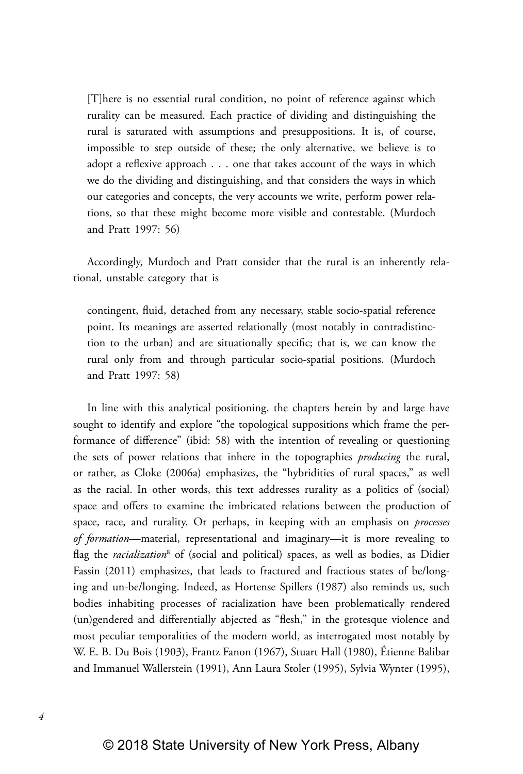[T]here is no essential rural condition, no point of reference against which rurality can be measured. Each practice of dividing and distinguishing the rural is saturated with assumptions and presuppositions. It is, of course, impossible to step outside of these; the only alternative, we believe is to adopt a reflexive approach . . . one that takes account of the ways in which we do the dividing and distinguishing, and that considers the ways in which our categories and concepts, the very accounts we write, perform power relations, so that these might become more visible and contestable. (Murdoch and Pratt 1997: 56)

Accordingly, Murdoch and Pratt consider that the rural is an inherently relational, unstable category that is

contingent, fluid, detached from any necessary, stable socio-spatial reference point. Its meanings are asserted relationally (most notably in contradistinction to the urban) and are situationally specific; that is, we can know the rural only from and through particular socio-spatial positions. (Murdoch and Pratt 1997: 58)

In line with this analytical positioning, the chapters herein by and large have sought to identify and explore "the topological suppositions which frame the performance of difference" (ibid: 58) with the intention of revealing or questioning the sets of power relations that inhere in the topographies *producing* the rural, or rather, as Cloke (2006a) emphasizes, the "hybridities of rural spaces," as well as the racial. In other words, this text addresses rurality as a politics of (social) space and offers to examine the imbricated relations between the production of space, race, and rurality. Or perhaps, in keeping with an emphasis on *processes of formation*—material, representational and imaginary—it is more revealing to flag the *racialization*<sup>8</sup> of (social and political) spaces, as well as bodies, as Didier Fassin (2011) emphasizes, that leads to fractured and fractious states of be/longing and un-be/longing. Indeed, as Hortense Spillers (1987) also reminds us, such bodies inhabiting processes of racialization have been problematically rendered (un)gendered and differentially abjected as "flesh," in the grotesque violence and most peculiar temporalities of the modern world, as interrogated most notably by W. E. B. Du Bois (1903), Frantz Fanon (1967), Stuart Hall (1980), Étienne Balibar and Immanuel Wallerstein (1991), Ann Laura Stoler (1995), Sylvia Wynter (1995),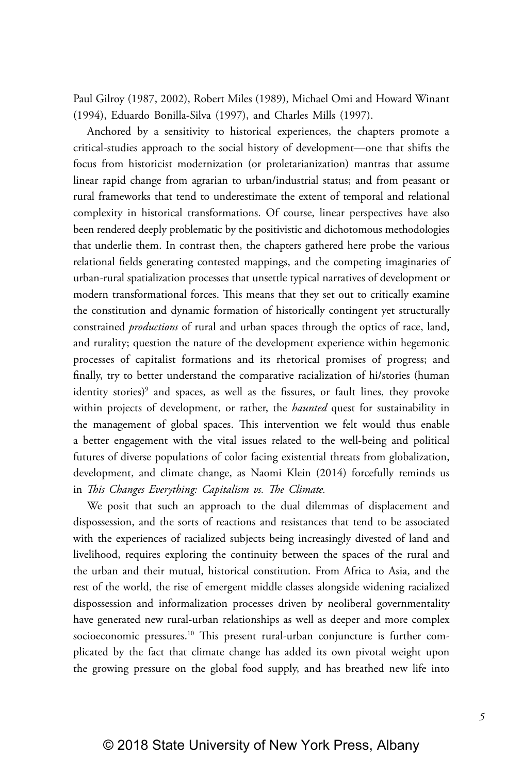Paul Gilroy (1987, 2002), Robert Miles (1989), Michael Omi and Howard Winant (1994), Eduardo Bonilla-Silva (1997), and Charles Mills (1997).

Anchored by a sensitivity to historical experiences, the chapters promote a critical-studies approach to the social history of development—one that shifts the focus from historicist modernization (or proletarianization) mantras that assume linear rapid change from agrarian to urban/industrial status; and from peasant or rural frameworks that tend to underestimate the extent of temporal and relational complexity in historical transformations. Of course, linear perspectives have also been rendered deeply problematic by the positivistic and dichotomous methodologies that underlie them. In contrast then, the chapters gathered here probe the various relational fields generating contested mappings, and the competing imaginaries of urban-rural spatialization processes that unsettle typical narratives of development or modern transformational forces. This means that they set out to critically examine the constitution and dynamic formation of historically contingent yet structurally constrained *productions* of rural and urban spaces through the optics of race, land, and rurality; question the nature of the development experience within hegemonic processes of capitalist formations and its rhetorical promises of progress; and finally, try to better understand the comparative racialization of hi/stories (human identity stories)<sup>9</sup> and spaces, as well as the fissures, or fault lines, they provoke within projects of development, or rather, the *haunted* quest for sustainability in the management of global spaces. This intervention we felt would thus enable a better engagement with the vital issues related to the well-being and political futures of diverse populations of color facing existential threats from globalization, development, and climate change, as Naomi Klein (2014) forcefully reminds us in *This Changes Everything: Capitalism vs. The Climate.*

We posit that such an approach to the dual dilemmas of displacement and dispossession, and the sorts of reactions and resistances that tend to be associated with the experiences of racialized subjects being increasingly divested of land and livelihood, requires exploring the continuity between the spaces of the rural and the urban and their mutual, historical constitution. From Africa to Asia, and the rest of the world, the rise of emergent middle classes alongside widening racialized dispossession and informalization processes driven by neoliberal governmentality have generated new rural-urban relationships as well as deeper and more complex socioeconomic pressures.<sup>10</sup> This present rural-urban conjuncture is further complicated by the fact that climate change has added its own pivotal weight upon the growing pressure on the global food supply, and has breathed new life into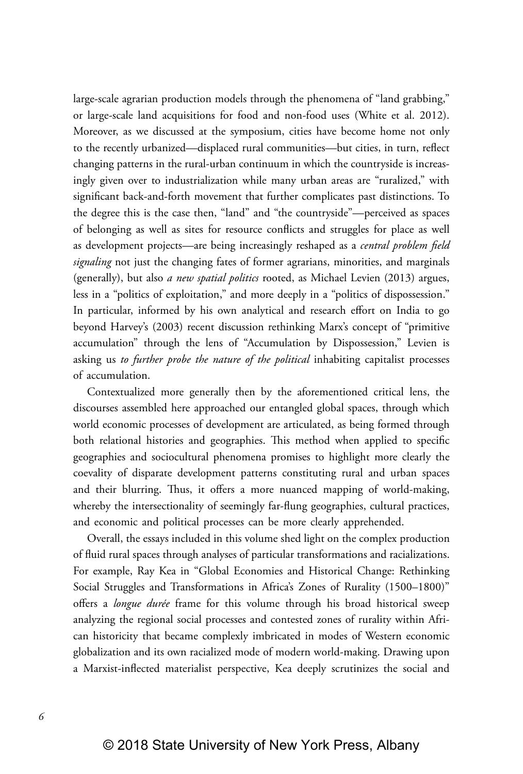large-scale agrarian production models through the phenomena of "land grabbing," or large-scale land acquisitions for food and non-food uses (White et al. 2012). Moreover, as we discussed at the symposium, cities have become home not only to the recently urbanized—displaced rural communities—but cities, in turn, reflect changing patterns in the rural-urban continuum in which the countryside is increasingly given over to industrialization while many urban areas are "ruralized," with significant back-and-forth movement that further complicates past distinctions. To the degree this is the case then, "land" and "the countryside"—perceived as spaces of belonging as well as sites for resource conflicts and struggles for place as well as development projects—are being increasingly reshaped as a *central problem field signaling* not just the changing fates of former agrarians, minorities, and marginals (generally), but also *a new spatial politics* rooted, as Michael Levien (2013) argues, less in a "politics of exploitation," and more deeply in a "politics of dispossession." In particular, informed by his own analytical and research effort on India to go beyond Harvey's (2003) recent discussion rethinking Marx's concept of "primitive accumulation" through the lens of "Accumulation by Dispossession," Levien is asking us *to further probe the nature of the political* inhabiting capitalist processes of accumulation.

Contextualized more generally then by the aforementioned critical lens, the discourses assembled here approached our entangled global spaces, through which world economic processes of development are articulated, as being formed through both relational histories and geographies. This method when applied to specific geographies and sociocultural phenomena promises to highlight more clearly the coevality of disparate development patterns constituting rural and urban spaces and their blurring. Thus, it offers a more nuanced mapping of world-making, whereby the intersectionality of seemingly far-flung geographies, cultural practices, and economic and political processes can be more clearly apprehended.

Overall, the essays included in this volume shed light on the complex production of fluid rural spaces through analyses of particular transformations and racializations. For example, Ray Kea in "Global Economies and Historical Change: Rethinking Social Struggles and Transformations in Africa's Zones of Rurality (1500–1800)" offers a *longue durée* frame for this volume through his broad historical sweep analyzing the regional social processes and contested zones of rurality within African historicity that became complexly imbricated in modes of Western economic globalization and its own racialized mode of modern world-making. Drawing upon a Marxist-inflected materialist perspective, Kea deeply scrutinizes the social and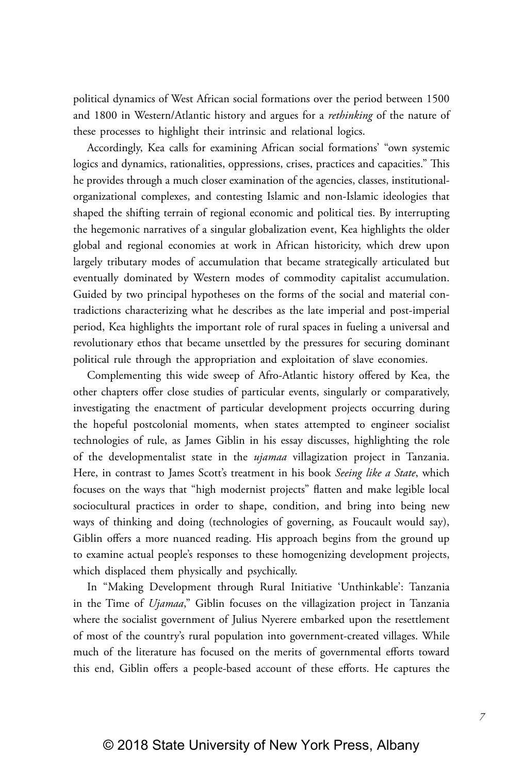political dynamics of West African social formations over the period between 1500 and 1800 in Western/Atlantic history and argues for a *rethinking* of the nature of these processes to highlight their intrinsic and relational logics.

Accordingly, Kea calls for examining African social formations' "own systemic logics and dynamics, rationalities, oppressions, crises, practices and capacities." This he provides through a much closer examination of the agencies, classes, institutionalorganizational complexes, and contesting Islamic and non-Islamic ideologies that shaped the shifting terrain of regional economic and political ties. By interrupting the hegemonic narratives of a singular globalization event, Kea highlights the older global and regional economies at work in African historicity, which drew upon largely tributary modes of accumulation that became strategically articulated but eventually dominated by Western modes of commodity capitalist accumulation. Guided by two principal hypotheses on the forms of the social and material contradictions characterizing what he describes as the late imperial and post-imperial period, Kea highlights the important role of rural spaces in fueling a universal and revolutionary ethos that became unsettled by the pressures for securing dominant political rule through the appropriation and exploitation of slave economies.

Complementing this wide sweep of Afro-Atlantic history offered by Kea, the other chapters offer close studies of particular events, singularly or comparatively, investigating the enactment of particular development projects occurring during the hopeful postcolonial moments, when states attempted to engineer socialist technologies of rule, as James Giblin in his essay discusses, highlighting the role of the developmentalist state in the *ujamaa* villagization project in Tanzania. Here, in contrast to James Scott's treatment in his book *Seeing like a State*, which focuses on the ways that "high modernist projects" flatten and make legible local sociocultural practices in order to shape, condition, and bring into being new ways of thinking and doing (technologies of governing, as Foucault would say), Giblin offers a more nuanced reading. His approach begins from the ground up to examine actual people's responses to these homogenizing development projects, which displaced them physically and psychically.

In "Making Development through Rural Initiative 'Unthinkable': Tanzania in the Time of *Ujamaa*," Giblin focuses on the villagization project in Tanzania where the socialist government of Julius Nyerere embarked upon the resettlement of most of the country's rural population into government-created villages. While much of the literature has focused on the merits of governmental efforts toward this end, Giblin offers a people-based account of these efforts. He captures the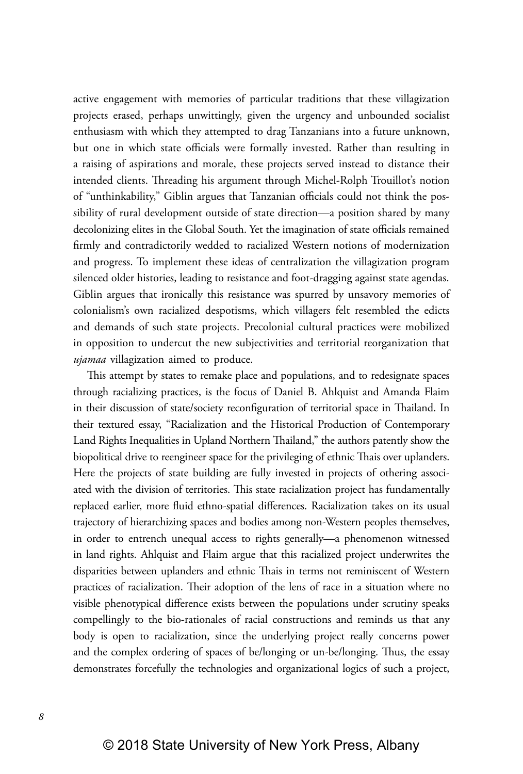active engagement with memories of particular traditions that these villagization projects erased, perhaps unwittingly, given the urgency and unbounded socialist enthusiasm with which they attempted to drag Tanzanians into a future unknown, but one in which state officials were formally invested. Rather than resulting in a raising of aspirations and morale, these projects served instead to distance their intended clients. Threading his argument through Michel-Rolph Trouillot's notion of "unthinkability," Giblin argues that Tanzanian officials could not think the possibility of rural development outside of state direction—a position shared by many decolonizing elites in the Global South. Yet the imagination of state officials remained firmly and contradictorily wedded to racialized Western notions of modernization and progress. To implement these ideas of centralization the villagization program silenced older histories, leading to resistance and foot-dragging against state agendas. Giblin argues that ironically this resistance was spurred by unsavory memories of colonialism's own racialized despotisms, which villagers felt resembled the edicts and demands of such state projects. Precolonial cultural practices were mobilized in opposition to undercut the new subjectivities and territorial reorganization that *ujamaa* villagization aimed to produce.

This attempt by states to remake place and populations, and to redesignate spaces through racializing practices, is the focus of Daniel B. Ahlquist and Amanda Flaim in their discussion of state/society reconfiguration of territorial space in Thailand. In their textured essay, "Racialization and the Historical Production of Contemporary Land Rights Inequalities in Upland Northern Thailand," the authors patently show the biopolitical drive to reengineer space for the privileging of ethnic Thais over uplanders. Here the projects of state building are fully invested in projects of othering associated with the division of territories. This state racialization project has fundamentally replaced earlier, more fluid ethno-spatial differences. Racialization takes on its usual trajectory of hierarchizing spaces and bodies among non-Western peoples themselves, in order to entrench unequal access to rights generally—a phenomenon witnessed in land rights. Ahlquist and Flaim argue that this racialized project underwrites the disparities between uplanders and ethnic Thais in terms not reminiscent of Western practices of racialization. Their adoption of the lens of race in a situation where no visible phenotypical difference exists between the populations under scrutiny speaks compellingly to the bio-rationales of racial constructions and reminds us that any body is open to racialization, since the underlying project really concerns power and the complex ordering of spaces of be/longing or un-be/longing. Thus, the essay demonstrates forcefully the technologies and organizational logics of such a project,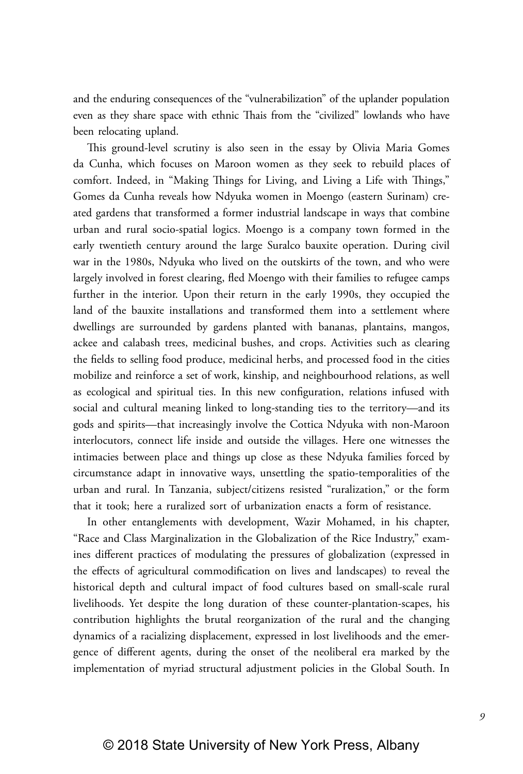and the enduring consequences of the "vulnerabilization" of the uplander population even as they share space with ethnic Thais from the "civilized" lowlands who have been relocating upland.

This ground-level scrutiny is also seen in the essay by Olivia Maria Gomes da Cunha, which focuses on Maroon women as they seek to rebuild places of comfort. Indeed, in "Making Things for Living, and Living a Life with Things," Gomes da Cunha reveals how Ndyuka women in Moengo (eastern Surinam) created gardens that transformed a former industrial landscape in ways that combine urban and rural socio-spatial logics. Moengo is a company town formed in the early twentieth century around the large Suralco bauxite operation. During civil war in the 1980s, Ndyuka who lived on the outskirts of the town, and who were largely involved in forest clearing, fled Moengo with their families to refugee camps further in the interior. Upon their return in the early 1990s, they occupied the land of the bauxite installations and transformed them into a settlement where dwellings are surrounded by gardens planted with bananas, plantains, mangos, ackee and calabash trees, medicinal bushes, and crops. Activities such as clearing the fields to selling food produce, medicinal herbs, and processed food in the cities mobilize and reinforce a set of work, kinship, and neighbourhood relations, as well as ecological and spiritual ties. In this new configuration, relations infused with social and cultural meaning linked to long-standing ties to the territory—and its gods and spirits—that increasingly involve the Cottica Ndyuka with non-Maroon interlocutors, connect life inside and outside the villages. Here one witnesses the intimacies between place and things up close as these Ndyuka families forced by circumstance adapt in innovative ways, unsettling the spatio-temporalities of the urban and rural. In Tanzania, subject/citizens resisted "ruralization," or the form that it took; here a ruralized sort of urbanization enacts a form of resistance.

In other entanglements with development, Wazir Mohamed, in his chapter, "Race and Class Marginalization in the Globalization of the Rice Industry," examines different practices of modulating the pressures of globalization (expressed in the effects of agricultural commodification on lives and landscapes) to reveal the historical depth and cultural impact of food cultures based on small-scale rural livelihoods. Yet despite the long duration of these counter-plantation-scapes, his contribution highlights the brutal reorganization of the rural and the changing dynamics of a racializing displacement, expressed in lost livelihoods and the emergence of different agents, during the onset of the neoliberal era marked by the implementation of myriad structural adjustment policies in the Global South. In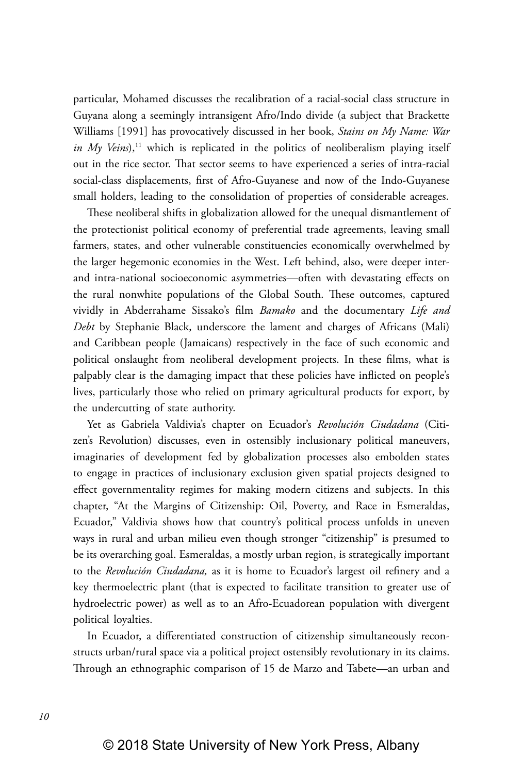particular, Mohamed discusses the recalibration of a racial-social class structure in Guyana along a seemingly intransigent Afro/Indo divide (a subject that Brackette Williams [1991] has provocatively discussed in her book, *Stains on My Name: War in My Veins*),<sup>11</sup> which is replicated in the politics of neoliberalism playing itself out in the rice sector. That sector seems to have experienced a series of intra-racial social-class displacements, first of Afro-Guyanese and now of the Indo-Guyanese small holders, leading to the consolidation of properties of considerable acreages.

These neoliberal shifts in globalization allowed for the unequal dismantlement of the protectionist political economy of preferential trade agreements, leaving small farmers, states, and other vulnerable constituencies economically overwhelmed by the larger hegemonic economies in the West. Left behind, also, were deeper interand intra-national socioeconomic asymmetries—often with devastating effects on the rural nonwhite populations of the Global South. These outcomes, captured vividly in Abderrahame Sissako's film *Bamako* and the documentary *Life and Debt* by Stephanie Black, underscore the lament and charges of Africans (Mali) and Caribbean people (Jamaicans) respectively in the face of such economic and political onslaught from neoliberal development projects. In these films, what is palpably clear is the damaging impact that these policies have inflicted on people's lives, particularly those who relied on primary agricultural products for export, by the undercutting of state authority.

Yet as Gabriela Valdivia's chapter on Ecuador's *Revolución Ciudadana* (Citizen's Revolution) discusses, even in ostensibly inclusionary political maneuvers, imaginaries of development fed by globalization processes also embolden states to engage in practices of inclusionary exclusion given spatial projects designed to effect governmentality regimes for making modern citizens and subjects. In this chapter, "At the Margins of Citizenship: Oil, Poverty, and Race in Esmeraldas, Ecuador," Valdivia shows how that country's political process unfolds in uneven ways in rural and urban milieu even though stronger "citizenship" is presumed to be its overarching goal. Esmeraldas, a mostly urban region, is strategically important to the *Revolución Ciudadana,* as it is home to Ecuador's largest oil refinery and a key thermoelectric plant (that is expected to facilitate transition to greater use of hydroelectric power) as well as to an Afro-Ecuadorean population with divergent political loyalties.

In Ecuador, a differentiated construction of citizenship simultaneously reconstructs urban/rural space via a political project ostensibly revolutionary in its claims. Through an ethnographic comparison of 15 de Marzo and Tabete—an urban and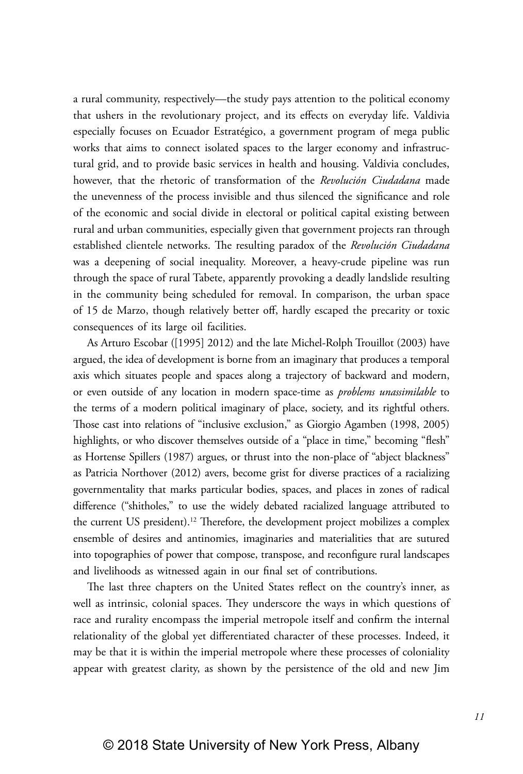a rural community, respectively—the study pays attention to the political economy that ushers in the revolutionary project, and its effects on everyday life. Valdivia especially focuses on Ecuador Estratégico, a government program of mega public works that aims to connect isolated spaces to the larger economy and infrastructural grid, and to provide basic services in health and housing. Valdivia concludes, however, that the rhetoric of transformation of the *Revolución Ciudadana* made the unevenness of the process invisible and thus silenced the significance and role of the economic and social divide in electoral or political capital existing between rural and urban communities, especially given that government projects ran through established clientele networks. The resulting paradox of the *Revolución Ciudadana* was a deepening of social inequality. Moreover, a heavy-crude pipeline was run through the space of rural Tabete, apparently provoking a deadly landslide resulting in the community being scheduled for removal. In comparison, the urban space of 15 de Marzo, though relatively better off, hardly escaped the precarity or toxic consequences of its large oil facilities.

As Arturo Escobar ([1995] 2012) and the late Michel-Rolph Trouillot (2003) have argued, the idea of development is borne from an imaginary that produces a temporal axis which situates people and spaces along a trajectory of backward and modern, or even outside of any location in modern space-time as *problems unassimilable* to the terms of a modern political imaginary of place, society, and its rightful others. Those cast into relations of "inclusive exclusion," as Giorgio Agamben (1998, 2005) highlights, or who discover themselves outside of a "place in time," becoming "flesh" as Hortense Spillers (1987) argues, or thrust into the non-place of "abject blackness" as Patricia Northover (2012) avers, become grist for diverse practices of a racializing governmentality that marks particular bodies, spaces, and places in zones of radical difference ("shitholes," to use the widely debated racialized language attributed to the current US president).<sup>12</sup> Therefore, the development project mobilizes a complex ensemble of desires and antinomies, imaginaries and materialities that are sutured into topographies of power that compose, transpose, and reconfigure rural landscapes and livelihoods as witnessed again in our final set of contributions.

The last three chapters on the United States reflect on the country's inner, as well as intrinsic, colonial spaces. They underscore the ways in which questions of race and rurality encompass the imperial metropole itself and confirm the internal relationality of the global yet differentiated character of these processes. Indeed, it may be that it is within the imperial metropole where these processes of coloniality appear with greatest clarity, as shown by the persistence of the old and new Jim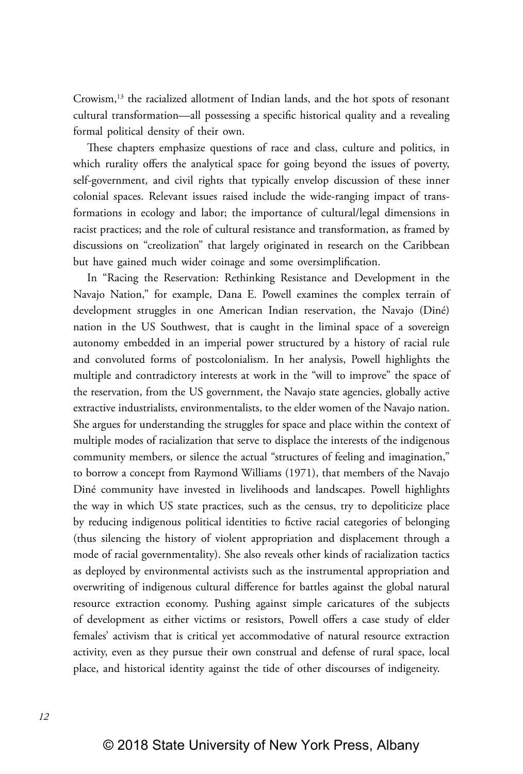Crowism,<sup>13</sup> the racialized allotment of Indian lands, and the hot spots of resonant cultural transformation—all possessing a specific historical quality and a revealing formal political density of their own.

These chapters emphasize questions of race and class, culture and politics, in which rurality offers the analytical space for going beyond the issues of poverty, self-government, and civil rights that typically envelop discussion of these inner colonial spaces. Relevant issues raised include the wide-ranging impact of transformations in ecology and labor; the importance of cultural/legal dimensions in racist practices; and the role of cultural resistance and transformation, as framed by discussions on "creolization" that largely originated in research on the Caribbean but have gained much wider coinage and some oversimplification.

In "Racing the Reservation: Rethinking Resistance and Development in the Navajo Nation," for example, Dana E. Powell examines the complex terrain of development struggles in one American Indian reservation, the Navajo (Diné) nation in the US Southwest, that is caught in the liminal space of a sovereign autonomy embedded in an imperial power structured by a history of racial rule and convoluted forms of postcolonialism. In her analysis, Powell highlights the multiple and contradictory interests at work in the "will to improve" the space of the reservation, from the US government, the Navajo state agencies, globally active extractive industrialists, environmentalists, to the elder women of the Navajo nation. She argues for understanding the struggles for space and place within the context of multiple modes of racialization that serve to displace the interests of the indigenous community members, or silence the actual "structures of feeling and imagination," to borrow a concept from Raymond Williams (1971), that members of the Navajo Diné community have invested in livelihoods and landscapes. Powell highlights the way in which US state practices, such as the census, try to depoliticize place by reducing indigenous political identities to fictive racial categories of belonging (thus silencing the history of violent appropriation and displacement through a mode of racial governmentality). She also reveals other kinds of racialization tactics as deployed by environmental activists such as the instrumental appropriation and overwriting of indigenous cultural difference for battles against the global natural resource extraction economy. Pushing against simple caricatures of the subjects of development as either victims or resistors, Powell offers a case study of elder females' activism that is critical yet accommodative of natural resource extraction activity, even as they pursue their own construal and defense of rural space, local place, and historical identity against the tide of other discourses of indigeneity.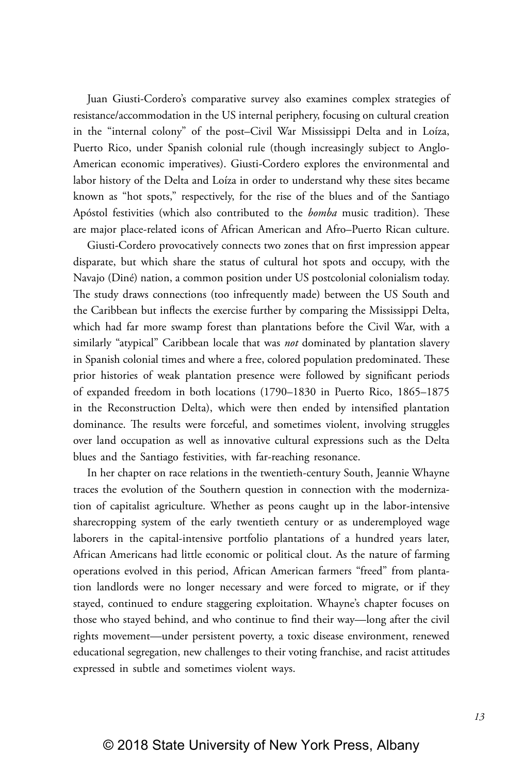Juan Giusti-Cordero's comparative survey also examines complex strategies of resistance/accommodation in the US internal periphery, focusing on cultural creation in the "internal colony" of the post–Civil War Mississippi Delta and in Loíza, Puerto Rico, under Spanish colonial rule (though increasingly subject to Anglo-American economic imperatives). Giusti-Cordero explores the environmental and labor history of the Delta and Loíza in order to understand why these sites became known as "hot spots," respectively, for the rise of the blues and of the Santiago Apóstol festivities (which also contributed to the *bomba* music tradition). These are major place-related icons of African American and Afro–Puerto Rican culture.

Giusti-Cordero provocatively connects two zones that on first impression appear disparate, but which share the status of cultural hot spots and occupy, with the Navajo (Diné) nation, a common position under US postcolonial colonialism today. The study draws connections (too infrequently made) between the US South and the Caribbean but inflects the exercise further by comparing the Mississippi Delta, which had far more swamp forest than plantations before the Civil War, with a similarly "atypical" Caribbean locale that was *not* dominated by plantation slavery in Spanish colonial times and where a free, colored population predominated. These prior histories of weak plantation presence were followed by significant periods of expanded freedom in both locations (1790–1830 in Puerto Rico, 1865–1875 in the Reconstruction Delta), which were then ended by intensified plantation dominance. The results were forceful, and sometimes violent, involving struggles over land occupation as well as innovative cultural expressions such as the Delta blues and the Santiago festivities, with far-reaching resonance.

In her chapter on race relations in the twentieth-century South, Jeannie Whayne traces the evolution of the Southern question in connection with the modernization of capitalist agriculture. Whether as peons caught up in the labor-intensive sharecropping system of the early twentieth century or as underemployed wage laborers in the capital-intensive portfolio plantations of a hundred years later, African Americans had little economic or political clout. As the nature of farming operations evolved in this period, African American farmers "freed" from plantation landlords were no longer necessary and were forced to migrate, or if they stayed, continued to endure staggering exploitation. Whayne's chapter focuses on those who stayed behind, and who continue to find their way—long after the civil rights movement—under persistent poverty, a toxic disease environment, renewed educational segregation, new challenges to their voting franchise, and racist attitudes expressed in subtle and sometimes violent ways.

*13*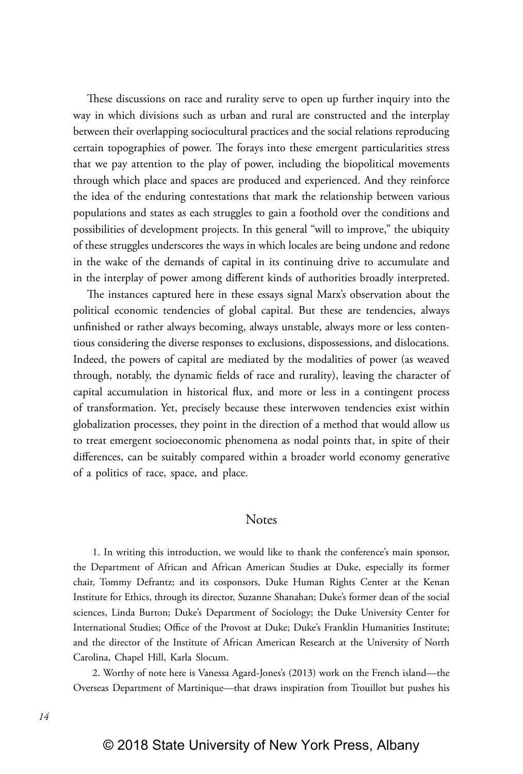These discussions on race and rurality serve to open up further inquiry into the way in which divisions such as urban and rural are constructed and the interplay between their overlapping sociocultural practices and the social relations reproducing certain topographies of power. The forays into these emergent particularities stress that we pay attention to the play of power, including the biopolitical movements through which place and spaces are produced and experienced. And they reinforce the idea of the enduring contestations that mark the relationship between various populations and states as each struggles to gain a foothold over the conditions and possibilities of development projects. In this general "will to improve," the ubiquity of these struggles underscores the ways in which locales are being undone and redone in the wake of the demands of capital in its continuing drive to accumulate and in the interplay of power among different kinds of authorities broadly interpreted.

The instances captured here in these essays signal Marx's observation about the political economic tendencies of global capital. But these are tendencies, always unfinished or rather always becoming, always unstable, always more or less contentious considering the diverse responses to exclusions, dispossessions, and dislocations. Indeed, the powers of capital are mediated by the modalities of power (as weaved through, notably, the dynamic fields of race and rurality), leaving the character of capital accumulation in historical flux, and more or less in a contingent process of transformation. Yet, precisely because these interwoven tendencies exist within globalization processes, they point in the direction of a method that would allow us to treat emergent socioeconomic phenomena as nodal points that, in spite of their differences, can be suitably compared within a broader world economy generative of a politics of race, space, and place.

## Notes

 1. In writing this introduction, we would like to thank the conference's main sponsor, the Department of African and African American Studies at Duke, especially its former chair, Tommy Defrantz; and its cosponsors, Duke Human Rights Center at the Kenan Institute for Ethics, through its director, Suzanne Shanahan; Duke's former dean of the social sciences, Linda Burton; Duke's Department of Sociology; the Duke University Center for International Studies; Office of the Provost at Duke; Duke's Franklin Humanities Institute; and the director of the Institute of African American Research at the University of North Carolina, Chapel Hill, Karla Slocum.

 2. Worthy of note here is Vanessa Agard-Jones's (2013) work on the French island—the Overseas Department of Martinique—that draws inspiration from Trouillot but pushes his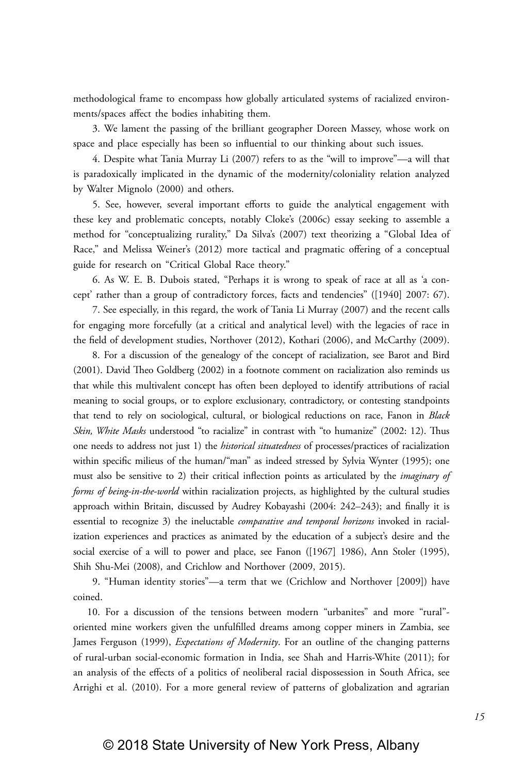methodological frame to encompass how globally articulated systems of racialized environments/spaces affect the bodies inhabiting them.

 3. We lament the passing of the brilliant geographer Doreen Massey, whose work on space and place especially has been so influential to our thinking about such issues.

 4. Despite what Tania Murray Li (2007) refers to as the "will to improve"—a will that is paradoxically implicated in the dynamic of the modernity/coloniality relation analyzed by Walter Mignolo (2000) and others.

 5. See, however, several important efforts to guide the analytical engagement with these key and problematic concepts, notably Cloke's (2006c) essay seeking to assemble a method for "conceptualizing rurality," Da Silva's (2007) text theorizing a "Global Idea of Race," and Melissa Weiner's (2012) more tactical and pragmatic offering of a conceptual guide for research on "Critical Global Race theory."

 6. As W. E. B. Dubois stated, "Perhaps it is wrong to speak of race at all as 'a concept' rather than a group of contradictory forces, facts and tendencies" ([1940] 2007: 67).

 7. See especially, in this regard, the work of Tania Li Murray (2007) and the recent calls for engaging more forcefully (at a critical and analytical level) with the legacies of race in the field of development studies, Northover (2012), Kothari (2006), and McCarthy (2009).

 8. For a discussion of the genealogy of the concept of racialization, see Barot and Bird (2001). David Theo Goldberg (2002) in a footnote comment on racialization also reminds us that while this multivalent concept has often been deployed to identify attributions of racial meaning to social groups, or to explore exclusionary, contradictory, or contesting standpoints that tend to rely on sociological, cultural, or biological reductions on race, Fanon in *Black Skin, White Masks* understood "to racialize" in contrast with "to humanize" (2002: 12). Thus one needs to address not just 1) the *historical situatedness* of processes/practices of racialization within specific milieus of the human/"man" as indeed stressed by Sylvia Wynter (1995); one must also be sensitive to 2) their critical inflection points as articulated by the *imaginary of forms of being-in-the-world* within racialization projects, as highlighted by the cultural studies approach within Britain, discussed by Audrey Kobayashi (2004: 242–243); and finally it is essential to recognize 3) the ineluctable *comparative and temporal horizons* invoked in racialization experiences and practices as animated by the education of a subject's desire and the social exercise of a will to power and place, see Fanon ([1967] 1986), Ann Stoler (1995), Shih Shu-Mei (2008), and Crichlow and Northover (2009, 2015).

 9. "Human identity stories"—a term that we (Crichlow and Northover [2009]) have coined.

10. For a discussion of the tensions between modern "urbanites" and more "rural" oriented mine workers given the unfulfilled dreams among copper miners in Zambia, see James Ferguson (1999), *Expectations of Modernity*. For an outline of the changing patterns of rural-urban social-economic formation in India, see Shah and Harris-White (2011); for an analysis of the effects of a politics of neoliberal racial dispossession in South Africa, see Arrighi et al. (2010). For a more general review of patterns of globalization and agrarian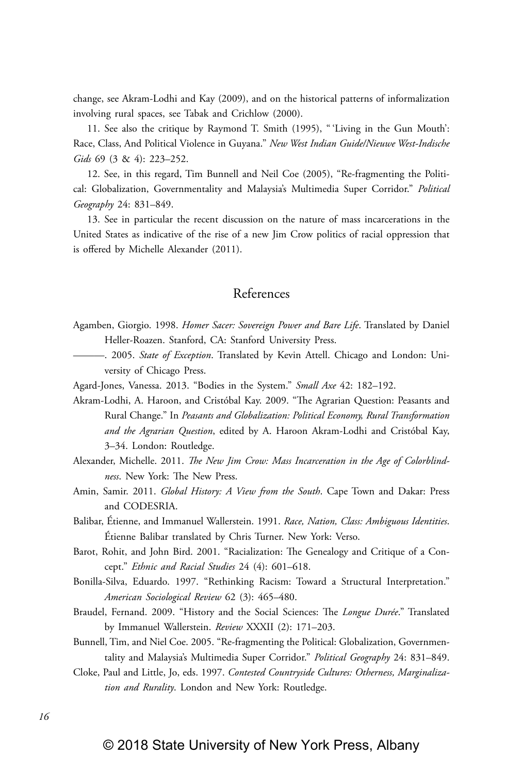change, see Akram-Lodhi and Kay (2009), and on the historical patterns of informalization involving rural spaces, see Tabak and Crichlow (2000).

11. See also the critique by Raymond T. Smith (1995), " 'Living in the Gun Mouth': Race, Class, And Political Violence in Guyana." *New West Indian Guide/Nieuwe West-Indische Gids* 69 (3 & 4): 223–252.

12. See, in this regard, Tim Bunnell and Neil Coe (2005), "Re-fragmenting the Political: Globalization, Governmentality and Malaysia's Multimedia Super Corridor." *Political Geography* 24: 831–849.

13. See in particular the recent discussion on the nature of mass incarcerations in the United States as indicative of the rise of a new Jim Crow politics of racial oppression that is offered by Michelle Alexander (2011).

## References

- Agamben, Giorgio. 1998. *Homer Sacer: Sovereign Power and Bare Life*. Translated by Daniel Heller-Roazen. Stanford, CA: Stanford University Press.
- ———. 2005. *State of Exception*. Translated by Kevin Attell. Chicago and London: University of Chicago Press.
- Agard-Jones, Vanessa. 2013. "Bodies in the System." *Small Axe* 42: 182–192.
- Akram-Lodhi, A. Haroon, and Cristóbal Kay. 2009. "The Agrarian Question: Peasants and Rural Change." In *Peasants and Globalization: Political Economy, Rural Transformation and the Agrarian Question*, edited by A. Haroon Akram-Lodhi and Cristóbal Kay, 3–34. London: Routledge.
- Alexander, Michelle. 2011. *The New Jim Crow: Mass Incarceration in the Age of Colorblindness*. New York: The New Press.
- Amin, Samir. 2011. *Global History: A View from the South*. Cape Town and Dakar: Press and CODESRIA.
- Balibar, Étienne, and Immanuel Wallerstein. 1991. *Race, Nation, Class: Ambiguous Identities*. Étienne Balibar translated by Chris Turner. New York: Verso.
- Barot, Rohit, and John Bird. 2001. "Racialization: The Genealogy and Critique of a Concept." *Ethnic and Racial Studies* 24 (4): 601–618.
- Bonilla-Silva, Eduardo. 1997. "Rethinking Racism: Toward a Structural Interpretation." *American Sociological Review* 62 (3): 465–480.
- Braudel, Fernand. 2009. "History and the Social Sciences: The *Longue Durée*." Translated by Immanuel Wallerstein. *Review* XXXII (2): 171–203.
- Bunnell, Tim, and Niel Coe. 2005. "Re-fragmenting the Political: Globalization, Governmentality and Malaysia's Multimedia Super Corridor." *Political Geography* 24: 831–849.
- Cloke, Paul and Little, Jo, eds. 1997. *Contested Countryside Cultures: Otherness, Marginalization and Rurality*. London and New York: Routledge.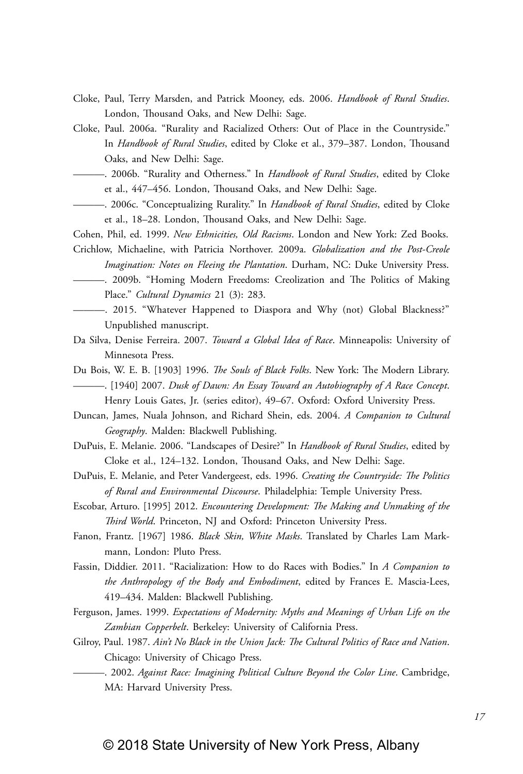- Cloke, Paul, Terry Marsden, and Patrick Mooney, eds. 2006. *Handbook of Rural Studies*. London, Thousand Oaks, and New Delhi: Sage.
- Cloke, Paul. 2006a. "Rurality and Racialized Others: Out of Place in the Countryside." In *Handbook of Rural Studies*, edited by Cloke et al., 379–387. London, Thousand Oaks, and New Delhi: Sage.
	- ———. 2006b. "Rurality and Otherness." In *Handbook of Rural Studies*, edited by Cloke et al., 447–456. London, Thousand Oaks, and New Delhi: Sage.
- ———. 2006c. "Conceptualizing Rurality." In *Handbook of Rural Studies*, edited by Cloke et al., 18–28. London, Thousand Oaks, and New Delhi: Sage.
- Cohen, Phil, ed. 1999. *New Ethnicities, Old Racisms*. London and New York: Zed Books.
- Crichlow, Michaeline, with Patricia Northover. 2009a. *Globalization and the Post-Creole Imagination: Notes on Fleeing the Plantation*. Durham, NC: Duke University Press.
- ———. 2009b. "Homing Modern Freedoms: Creolization and The Politics of Making Place." *Cultural Dynamics* 21 (3): 283.
- ———. 2015. "Whatever Happened to Diaspora and Why (not) Global Blackness?" Unpublished manuscript.
- Da Silva, Denise Ferreira. 2007. *Toward a Global Idea of Race*. Minneapolis: University of Minnesota Press.
- Du Bois, W. E. B. [1903] 1996. *The Souls of Black Folks*. New York: The Modern Library. ———. [1940] 2007. *Dusk of Dawn: An Essay Toward an Autobiography of A Race Concept*. Henry Louis Gates, Jr. (series editor), 49–67. Oxford: Oxford University Press.
- Duncan, James, Nuala Johnson, and Richard Shein, eds. 2004. *A Companion to Cultural Geography*. Malden: Blackwell Publishing.
- DuPuis, E. Melanie. 2006. "Landscapes of Desire?" In *Handbook of Rural Studies*, edited by Cloke et al., 124–132. London, Thousand Oaks, and New Delhi: Sage.
- DuPuis, E. Melanie, and Peter Vandergeest, eds. 1996. *Creating the Countryside: The Politics of Rural and Environmental Discourse*. Philadelphia: Temple University Press.
- Escobar, Arturo. [1995] 2012. *Encountering Development: The Making and Unmaking of the Third World*. Princeton, NJ and Oxford: Princeton University Press.
- Fanon, Frantz. [1967] 1986. *Black Skin, White Masks*. Translated by Charles Lam Markmann, London: Pluto Press.
- Fassin, Diddier. 2011. "Racialization: How to do Races with Bodies." In *A Companion to the Anthropology of the Body and Embodiment*, edited by Frances E. Mascia-Lees, 419–434. Malden: Blackwell Publishing.
- Ferguson, James. 1999. *Expectations of Modernity: Myths and Meanings of Urban Life on the Zambian Copperbelt*. Berkeley: University of California Press.
- Gilroy, Paul. 1987. *Ain't No Black in the Union Jack: The Cultural Politics of Race and Nation*. Chicago: University of Chicago Press.
	- ———. 2002. *Against Race: Imagining Political Culture Beyond the Color Line*. Cambridge, MA: Harvard University Press.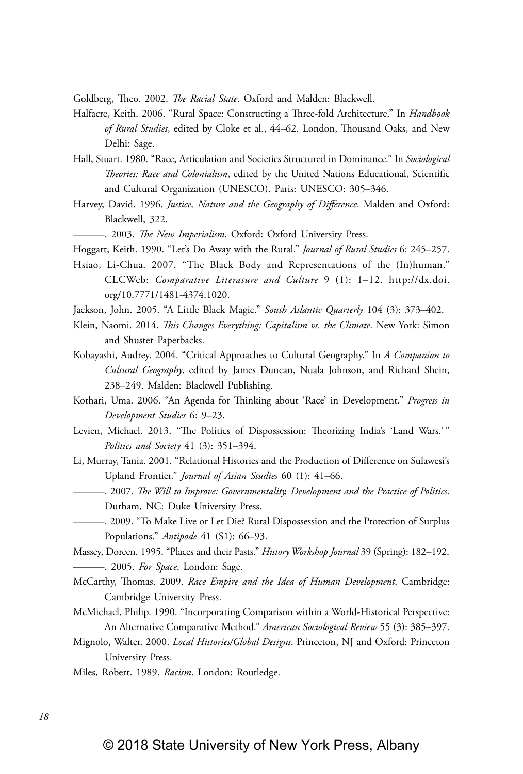Goldberg, Theo. 2002. *The Racial State*. Oxford and Malden: Blackwell.

- Halfacre, Keith. 2006. "Rural Space: Constructing a Three-fold Architecture." In *Handbook of Rural Studies*, edited by Cloke et al., 44–62. London, Thousand Oaks, and New Delhi: Sage.
- Hall, Stuart. 1980. "Race, Articulation and Societies Structured in Dominance." In *Sociological Theories: Race and Colonialism*, edited by the United Nations Educational, Scientific and Cultural Organization (UNESCO). Paris: UNESCO: 305–346.
- Harvey, David. 1996. *Justice, Nature and the Geography of Difference*. Malden and Oxford: Blackwell, 322.
	- ———. 2003. *The New Imperialism*. Oxford: Oxford University Press.
- Hoggart, Keith. 1990. "Let's Do Away with the Rural." *Journal of Rural Studies* 6: 245–257.
- Hsiao, Li-Chua. 2007. "The Black Body and Representations of the (In)human." CLCWeb: *Comparative Literature and Culture* 9 (1): 1–12. http://dx.doi. org/10.7771/1481-4374.1020.
- Jackson, John. 2005. "A Little Black Magic." *South Atlantic Quarterly* 104 (3): 373–402.
- Klein, Naomi. 2014. *This Changes Everything: Capitalism vs. the Climate*. New York: Simon and Shuster Paperbacks.
- Kobayashi, Audrey. 2004. "Critical Approaches to Cultural Geography." In *A Companion to Cultural Geography*, edited by James Duncan, Nuala Johnson, and Richard Shein, 238–249. Malden: Blackwell Publishing.
- Kothari, Uma. 2006. "An Agenda for Thinking about 'Race' in Development." *Progress in Development Studies* 6: 9–23.
- Levien, Michael. 2013. "The Politics of Dispossession: Theorizing India's 'Land Wars.' " *Politics and Society* 41 (3): 351–394.
- Li, Murray, Tania. 2001. "Relational Histories and the Production of Difference on Sulawesi's Upland Frontier." *Journal of Asian Studies* 60 (1): 41–66.
- ———. 2007. *The Will to Improve: Governmentality, Development and the Practice of Politics*. Durham, NC: Duke University Press.
- ———. 2009. "To Make Live or Let Die? Rural Dispossession and the Protection of Surplus Populations." *Antipode* 41 (S1): 66–93.
- Massey, Doreen. 1995. "Places and their Pasts." *History Workshop Journal* 39 (Spring): 182–192. ———. 2005. *For Space*. London: Sage.
- McCarthy, Thomas. 2009. *Race Empire and the Idea of Human Development*. Cambridge: Cambridge University Press.
- McMichael, Philip. 1990. "Incorporating Comparison within a World-Historical Perspective: An Alternative Comparative Method." *American Sociological Review* 55 (3): 385–397.
- Mignolo, Walter. 2000. *Local Histories/Global Designs*. Princeton, NJ and Oxford: Princeton University Press.
- Miles, Robert. 1989. *Racism*. London: Routledge.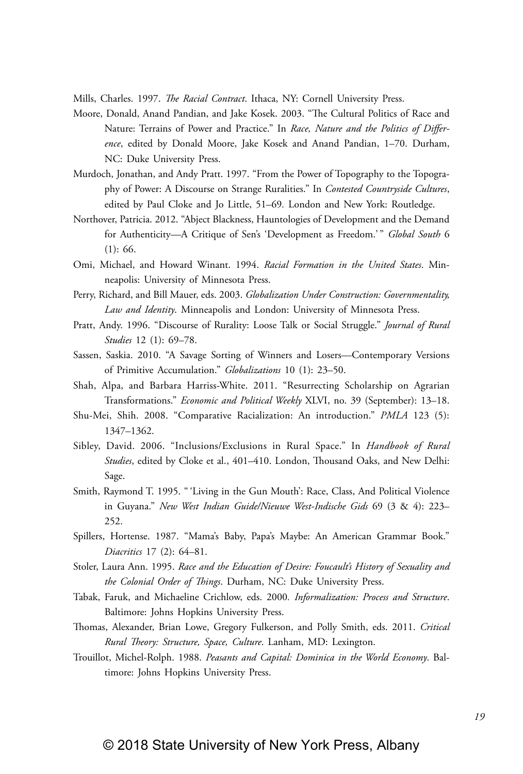Mills, Charles. 1997. *The Racial Contract*. Ithaca, NY: Cornell University Press.

- Moore, Donald, Anand Pandian, and Jake Kosek. 2003. "The Cultural Politics of Race and Nature: Terrains of Power and Practice." In *Race, Nature and the Politics of Difference*, edited by Donald Moore, Jake Kosek and Anand Pandian, 1–70. Durham, NC: Duke University Press.
- Murdoch, Jonathan, and Andy Pratt. 1997. "From the Power of Topography to the Topography of Power: A Discourse on Strange Ruralities." In *Contested Countryside Cultures*, edited by Paul Cloke and Jo Little, 51–69*.* London and New York: Routledge.
- Northover, Patricia. 2012. "Abject Blackness, Hauntologies of Development and the Demand for Authenticity-A Critique of Sen's 'Development as Freedom.'" Global South 6 (1): 66.
- Omi, Michael, and Howard Winant. 1994. *Racial Formation in the United States*. Minneapolis: University of Minnesota Press.
- Perry, Richard, and Bill Mauer, eds. 2003. *Globalization Under Construction: Governmentality, Law and Identity*. Minneapolis and London: University of Minnesota Press.
- Pratt, Andy. 1996. "Discourse of Rurality: Loose Talk or Social Struggle." *Journal of Rural Studies* 12 (1): 69–78.
- Sassen, Saskia. 2010. "A Savage Sorting of Winners and Losers—Contemporary Versions of Primitive Accumulation." *Globalizations* 10 (1): 23–50.
- Shah, Alpa, and Barbara Harriss-White. 2011. "Resurrecting Scholarship on Agrarian Transformations." *Economic and Political Weekly* XLVI, no. 39 (September): 13–18.
- Shu-Mei, Shih. 2008. "Comparative Racialization: An introduction." *PMLA* 123 (5): 1347–1362.
- Sibley, David. 2006. "Inclusions/Exclusions in Rural Space." In *Handbook of Rural Studies*, edited by Cloke et al., 401–410. London, Thousand Oaks, and New Delhi: Sage.
- Smith, Raymond T. 1995. " 'Living in the Gun Mouth': Race, Class, And Political Violence in Guyana." *New West Indian Guide/Nieuwe West-Indische Gids* 69 (3 & 4): 223– 252.
- Spillers, Hortense. 1987. "Mama's Baby, Papa's Maybe: An American Grammar Book." *Diacritics* 17 (2): 64–81.
- Stoler, Laura Ann. 1995. *Race and the Education of Desire: Foucault's History of Sexuality and the Colonial Order of Things*. Durham, NC: Duke University Press.
- Tabak, Faruk, and Michaeline Crichlow, eds. 2000*. Informalization: Process and Structure*. Baltimore: Johns Hopkins University Press.
- Thomas, Alexander, Brian Lowe, Gregory Fulkerson, and Polly Smith, eds. 2011. *Critical Rural Theory: Structure, Space, Culture*. Lanham, MD: Lexington.
- Trouillot, Michel-Rolph. 1988. *Peasants and Capital: Dominica in the World Economy*. Baltimore: Johns Hopkins University Press.